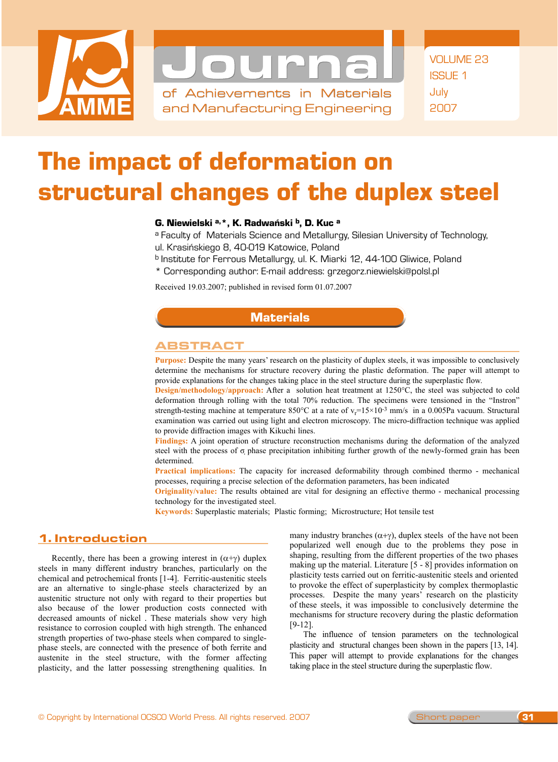



of Achievements in Materials and Manufacturing Engineering

# The impact of deformation on structural changes of the duplex steel

### G. Niewielski a, \*, K. Radwański b, D. Kuc a

a Faculty of Materials Science and Metallurgy, Silesian University of Technology, ul. Krasińskiego 8, 40-019 Katowice, Poland

- b Institute for Ferrous Metallurgy, ul. K. Miarki 12, 44-100 Gliwice, Poland
- \* Corresponding author: E-mail address: grzegorz.niewielski@polsl.pl

Received 19.03.2007; published in revised form 01.07.2007

#### **Materials**

#### Abstract

**Purpose:** Despite the many years' research on the plasticity of duplex steels, it was impossible to conclusively determine the mechanisms for structure recovery during the plastic deformation. The paper will attempt to provide explanations for the changes taking place in the steel structure during the superplastic flow.

**Design/methodology/approach:** After a solution heat treatment at 1250°C, the steel was subjected to cold deformation through rolling with the total 70% reduction. The specimens were tensioned in the "Instron" strength-testing machine at temperature  $850^{\circ}$ C at a rate of  $v_r = 15 \times 10^{-3}$  mm/s in a 0.005Pa vacuum. Structural examination was carried out using light and electron microscopy. The micro-diffraction technique was applied to provide diffraction images with Kikuchi lines.

**Findings:** A joint operation of structure reconstruction mechanisms during the deformation of the analyzed steel with the process of  $\sigma$  phase precipitation inhibiting further growth of the newly-formed grain has been determined.

**Practical implications:** The capacity for increased deformability through combined thermo - mechanical processes, requiring a precise selection of the deformation parameters, has been indicated

**Originality/value:** The results obtained are vital for designing an effective thermo - mechanical processing technology for the investigated steel.

**Keywords:** Superplastic materials; Plastic forming; Microstructure; Hot tensile test

## **1. Introduction**  1. Introduction

Recently, there has been a growing interest in  $(\alpha+\gamma)$  duplex steels in many different industry branches, particularly on the chemical and petrochemical fronts [1-4]. Ferritic-austenitic steels are an alternative to single-phase steels characterized by an austenitic structure not only with regard to their properties but also because of the lower production costs connected with decreased amounts of nickel . These materials show very high resistance to corrosion coupled with high strength. The enhanced strength properties of two-phase steels when compared to singlephase steels, are connected with the presence of both ferrite and austenite in the steel structure, with the former affecting plasticity, and the latter possessing strengthening qualities. In many industry branches  $(\alpha + \gamma)$ , duplex steels of the have not been popularized well enough due to the problems they pose in shaping, resulting from the different properties of the two phases making up the material. Literature [5 - 8] provides information on plasticity tests carried out on ferritic-austenitic steels and oriented to provoke the effect of superplasticity by complex thermoplastic processes. Despite the many years' research on the plasticity of these steels, it was impossible to conclusively determine the mechanisms for structure recovery during the plastic deformation [9-12].

The influence of tension parameters on the technological plasticity and structural changes been shown in the papers [13, 14]. This paper will attempt to provide explanations for the changes taking place in the steel structure during the superplastic flow.